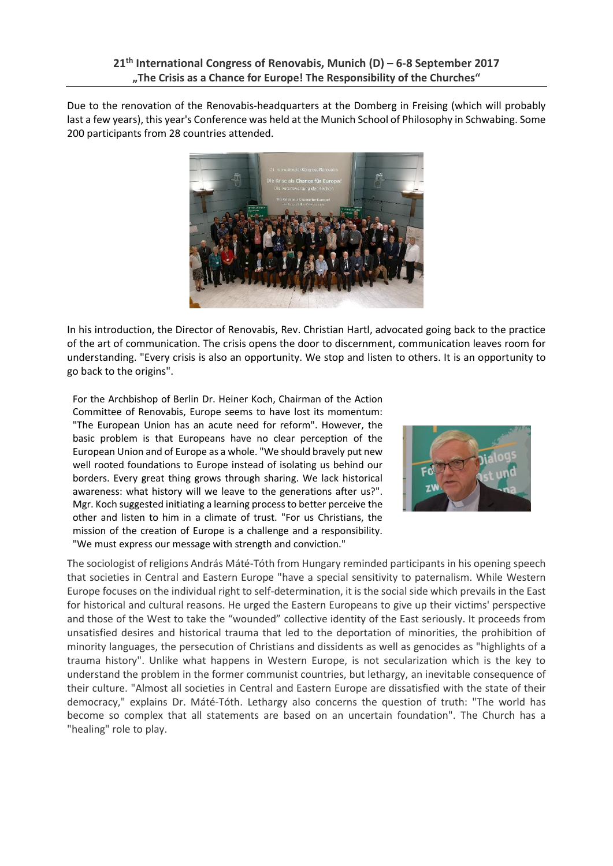Due to the renovation of the Renovabis-headquarters at the Domberg in Freising (which will probably last a few years), this year's Conference was held at the Munich School of Philosophy in Schwabing. Some 200 participants from 28 countries attended.



In his introduction, the Director of Renovabis, Rev. Christian Hartl, advocated going back to the practice of the art of communication. The crisis opens the door to discernment, communication leaves room for understanding. "Every crisis is also an opportunity. We stop and listen to others. It is an opportunity to go back to the origins".

For the Archbishop of Berlin Dr. Heiner Koch, Chairman of the Action Committee of Renovabis, Europe seems to have lost its momentum: "The European Union has an acute need for reform". However, the basic problem is that Europeans have no clear perception of the European Union and of Europe as a whole. "We should bravely put new well rooted foundations to Europe instead of isolating us behind our borders. Every great thing grows through sharing. We lack historical awareness: what history will we leave to the generations after us?". Mgr. Koch suggested initiating a learning process to better perceive the other and listen to him in a climate of trust. "For us Christians, the mission of the creation of Europe is a challenge and a responsibility. "We must express our message with strength and conviction."



The sociologist of religions András Máté-Tóth from Hungary reminded participants in his opening speech that societies in Central and Eastern Europe "have a special sensitivity to paternalism. While Western Europe focuses on the individual right to self-determination, it is the social side which prevails in the East for historical and cultural reasons. He urged the Eastern Europeans to give up their victims' perspective and those of the West to take the "wounded" collective identity of the East seriously. It proceeds from unsatisfied desires and historical trauma that led to the deportation of minorities, the prohibition of minority languages, the persecution of Christians and dissidents as well as genocides as "highlights of a trauma history". Unlike what happens in Western Europe, is not secularization which is the key to understand the problem in the former communist countries, but lethargy, an inevitable consequence of their culture. "Almost all societies in Central and Eastern Europe are dissatisfied with the state of their democracy," explains Dr. Máté-Tóth. Lethargy also concerns the question of truth: "The world has become so complex that all statements are based on an uncertain foundation". The Church has a "healing" role to play.